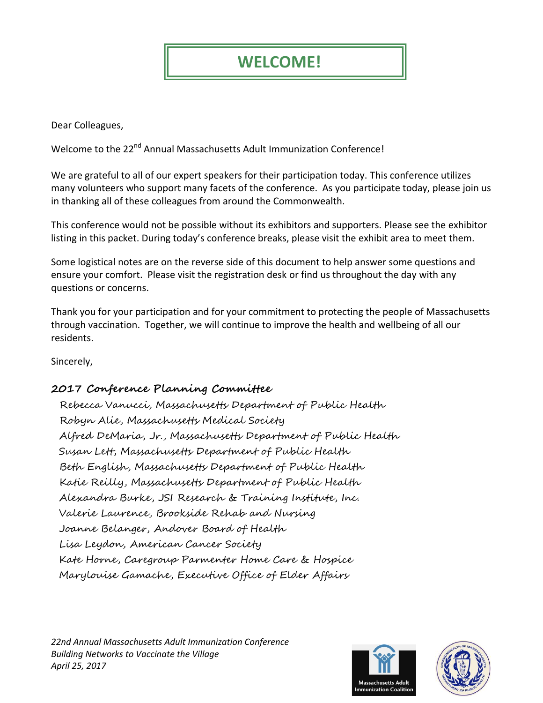## **WELCOME!**

Dear Colleagues,

Welcome to the 22<sup>nd</sup> Annual Massachusetts Adult Immunization Conference!

We are grateful to all of our expert speakers for their participation today. This conference utilizes many volunteers who support many facets of the conference. As you participate today, please join us in thanking all of these colleagues from around the Commonwealth.

This conference would not be possible without its exhibitors and supporters. Please see the exhibitor listing in this packet. During today's conference breaks, please visit the exhibit area to meet them.

Some logistical notes are on the reverse side of this document to help answer some questions and ensure your comfort. Please visit the registration desk or find us throughout the day with any questions or concerns.

Thank you for your participation and for your commitment to protecting the people of Massachusetts through vaccination. Together, we will continue to improve the health and wellbeing of all our residents.

Sincerely,

## **2017 Conference Planning Committee**

Rebecca Vanucci, Massachusetts Department of Public Health Robyn Alie, Massachusetts Medical Society Alfred DeMaria, Jr., Massachusetts Department of Public Health Susan Lett, Massachusetts Department of Public Health Beth English, Massachusetts Department of Public Health Katie Reilly, Massachusetts Department of Public Health Alexandra Burke, JSI Research & Training Institute, Inc. Valerie Laurence, Brookside Rehab and Nursing Joanne Belanger, Andover Board of Health Lisa Leydon, American Cancer Society Kate Horne, Caregroup Parmenter Home Care & Hospice Marylouise Gamache, Executive Office of Elder Affairs